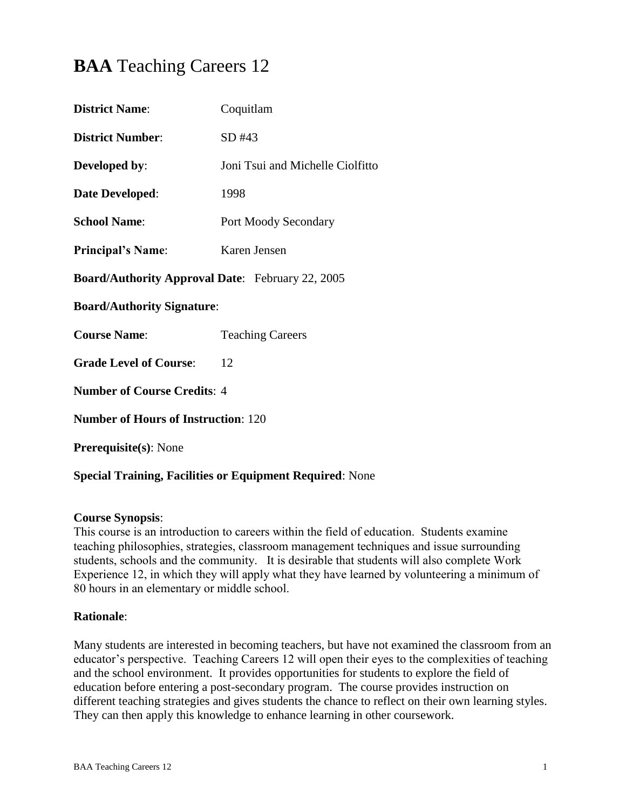# **BAA** Teaching Careers 12

| <b>District Name:</b>                                   | Coquitlam                        |  |
|---------------------------------------------------------|----------------------------------|--|
| <b>District Number:</b>                                 | SD #43                           |  |
| Developed by:                                           | Joni Tsui and Michelle Ciolfitto |  |
| Date Developed:                                         | 1998                             |  |
| <b>School Name:</b>                                     | <b>Port Moody Secondary</b>      |  |
| <b>Principal's Name:</b>                                | Karen Jensen                     |  |
| <b>Board/Authority Approval Date:</b> February 22, 2005 |                                  |  |
| <b>Board/Authority Signature:</b>                       |                                  |  |
| <b>Course Name:</b>                                     | <b>Teaching Careers</b>          |  |
| <b>Grade Level of Course:</b>                           | 12                               |  |
| <b>Number of Course Credits: 4</b>                      |                                  |  |
| <b>Number of Hours of Instruction: 120</b>              |                                  |  |
| <b>Prerequisite(s): None</b>                            |                                  |  |

# **Special Training, Facilities or Equipment Required**: None

#### **Course Synopsis**:

This course is an introduction to careers within the field of education. Students examine teaching philosophies, strategies, classroom management techniques and issue surrounding students, schools and the community. It is desirable that students will also complete Work Experience 12, in which they will apply what they have learned by volunteering a minimum of 80 hours in an elementary or middle school.

#### **Rationale**:

Many students are interested in becoming teachers, but have not examined the classroom from an educator's perspective. Teaching Careers 12 will open their eyes to the complexities of teaching and the school environment. It provides opportunities for students to explore the field of education before entering a post-secondary program. The course provides instruction on different teaching strategies and gives students the chance to reflect on their own learning styles. They can then apply this knowledge to enhance learning in other coursework.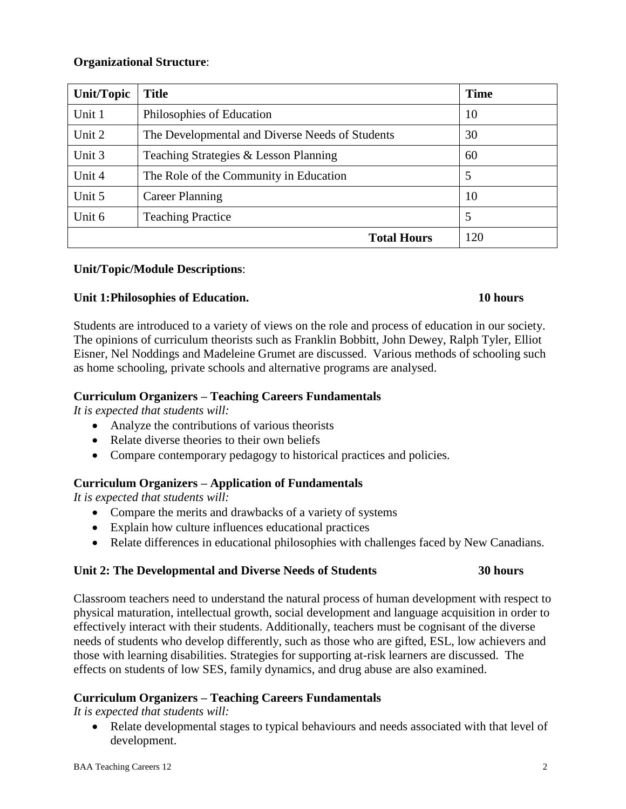## **Organizational Structure**:

| Unit/Topic         | <b>Title</b>                                    | <b>Time</b> |
|--------------------|-------------------------------------------------|-------------|
| Unit 1             | Philosophies of Education                       | 10          |
| Unit 2             | The Developmental and Diverse Needs of Students |             |
| Unit 3             | Teaching Strategies & Lesson Planning           | 60          |
| Unit 4             | The Role of the Community in Education          | 5           |
| Unit 5             | <b>Career Planning</b>                          | 10          |
| Unit 6             | <b>Teaching Practice</b>                        | 5           |
| <b>Total Hours</b> |                                                 | 120         |

#### **Unit/Topic/Module Descriptions**:

## **Unit 1:Philosophies of Education. 10 hours**

Students are introduced to a variety of views on the role and process of education in our society. The opinions of curriculum theorists such as Franklin Bobbitt, John Dewey, Ralph Tyler, Elliot Eisner, Nel Noddings and Madeleine Grumet are discussed. Various methods of schooling such as home schooling, private schools and alternative programs are analysed.

## **Curriculum Organizers – Teaching Careers Fundamentals**

*It is expected that students will:*

- Analyze the contributions of various theorists
- Relate diverse theories to their own beliefs
- Compare contemporary pedagogy to historical practices and policies.

# **Curriculum Organizers – Application of Fundamentals**

*It is expected that students will:*

- Compare the merits and drawbacks of a variety of systems
- Explain how culture influences educational practices
- Relate differences in educational philosophies with challenges faced by New Canadians.

# **Unit 2: The Developmental and Diverse Needs of Students 30 hours**

Classroom teachers need to understand the natural process of human development with respect to physical maturation, intellectual growth, social development and language acquisition in order to effectively interact with their students. Additionally, teachers must be cognisant of the diverse needs of students who develop differently, such as those who are gifted, ESL, low achievers and those with learning disabilities. Strategies for supporting at-risk learners are discussed. The effects on students of low SES, family dynamics, and drug abuse are also examined.

# **Curriculum Organizers – Teaching Careers Fundamentals**

*It is expected that students will:*

• Relate developmental stages to typical behaviours and needs associated with that level of development.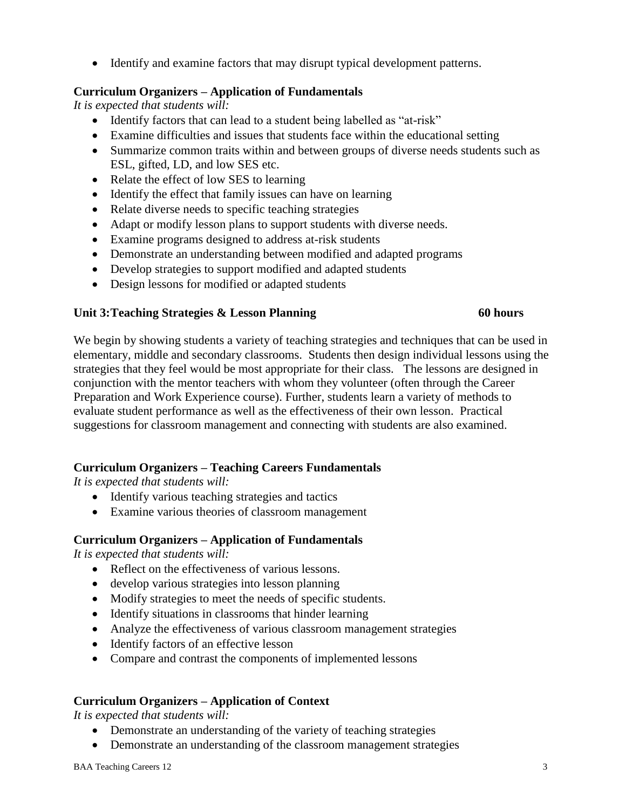Identify and examine factors that may disrupt typical development patterns.

### **Curriculum Organizers – Application of Fundamentals**

*It is expected that students will:*

- Identify factors that can lead to a student being labelled as "at-risk"
- Examine difficulties and issues that students face within the educational setting
- Summarize common traits within and between groups of diverse needs students such as ESL, gifted, LD, and low SES etc.
- Relate the effect of low SES to learning
- Identify the effect that family issues can have on learning
- Relate diverse needs to specific teaching strategies
- Adapt or modify lesson plans to support students with diverse needs.
- Examine programs designed to address at-risk students
- Demonstrate an understanding between modified and adapted programs
- Develop strategies to support modified and adapted students
- Design lessons for modified or adapted students

#### **Unit 3:Teaching Strategies & Lesson Planning 60 hours**

We begin by showing students a variety of teaching strategies and techniques that can be used in elementary, middle and secondary classrooms. Students then design individual lessons using the strategies that they feel would be most appropriate for their class. The lessons are designed in conjunction with the mentor teachers with whom they volunteer (often through the Career Preparation and Work Experience course). Further, students learn a variety of methods to evaluate student performance as well as the effectiveness of their own lesson. Practical suggestions for classroom management and connecting with students are also examined.

# **Curriculum Organizers – Teaching Careers Fundamentals**

*It is expected that students will:*

- Identify various teaching strategies and tactics
- Examine various theories of classroom management

#### **Curriculum Organizers – Application of Fundamentals**

*It is expected that students will:*

- Reflect on the effectiveness of various lessons.
- develop various strategies into lesson planning
- Modify strategies to meet the needs of specific students.
- Identify situations in classrooms that hinder learning
- Analyze the effectiveness of various classroom management strategies
- Identify factors of an effective lesson
- Compare and contrast the components of implemented lessons

# **Curriculum Organizers – Application of Context**

*It is expected that students will:*

- Demonstrate an understanding of the variety of teaching strategies
- Demonstrate an understanding of the classroom management strategies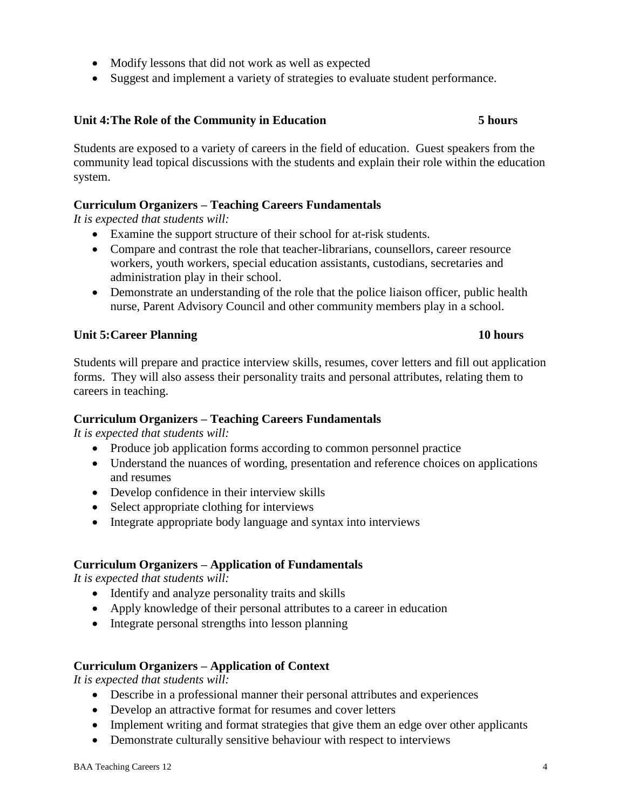- Modify lessons that did not work as well as expected
- Suggest and implement a variety of strategies to evaluate student performance.

# **Unit 4:The Role of the Community in Education 5 hours**

Students are exposed to a variety of careers in the field of education. Guest speakers from the community lead topical discussions with the students and explain their role within the education system.

# **Curriculum Organizers – Teaching Careers Fundamentals**

*It is expected that students will:*

- Examine the support structure of their school for at-risk students.
- Compare and contrast the role that teacher-librarians, counsellors, career resource workers, youth workers, special education assistants, custodians, secretaries and administration play in their school.
- Demonstrate an understanding of the role that the police liaison officer, public health nurse, Parent Advisory Council and other community members play in a school.

# **Unit 5:Career Planning 10 hours**

## Students will prepare and practice interview skills, resumes, cover letters and fill out application forms. They will also assess their personality traits and personal attributes, relating them to careers in teaching.

# **Curriculum Organizers – Teaching Careers Fundamentals**

*It is expected that students will:*

- Produce job application forms according to common personnel practice
- Understand the nuances of wording, presentation and reference choices on applications and resumes
- Develop confidence in their interview skills
- Select appropriate clothing for interviews
- Integrate appropriate body language and syntax into interviews

# **Curriculum Organizers – Application of Fundamentals**

*It is expected that students will:*

- Identify and analyze personality traits and skills
- Apply knowledge of their personal attributes to a career in education
- Integrate personal strengths into lesson planning

# **Curriculum Organizers – Application of Context**

*It is expected that students will:*

- Describe in a professional manner their personal attributes and experiences
- Develop an attractive format for resumes and cover letters
- Implement writing and format strategies that give them an edge over other applicants
- Demonstrate culturally sensitive behaviour with respect to interviews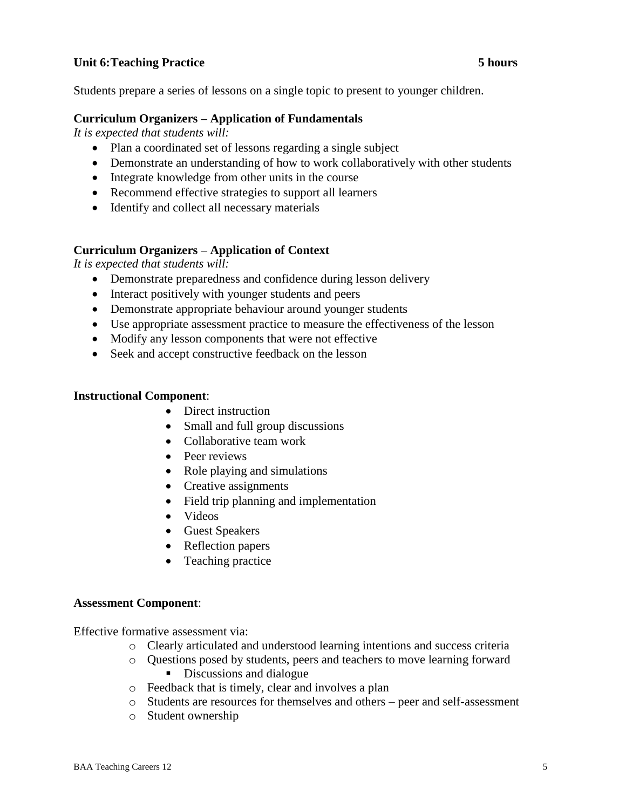## **Unit 6:Teaching Practice 5 hours**

Students prepare a series of lessons on a single topic to present to younger children.

#### **Curriculum Organizers – Application of Fundamentals**

*It is expected that students will:*

- Plan a coordinated set of lessons regarding a single subject
- Demonstrate an understanding of how to work collaboratively with other students
- Integrate knowledge from other units in the course
- Recommend effective strategies to support all learners
- Identify and collect all necessary materials

## **Curriculum Organizers – Application of Context**

*It is expected that students will:*

- Demonstrate preparedness and confidence during lesson delivery
- Interact positively with younger students and peers
- Demonstrate appropriate behaviour around younger students
- Use appropriate assessment practice to measure the effectiveness of the lesson
- Modify any lesson components that were not effective
- Seek and accept constructive feedback on the lesson

#### **Instructional Component**:

- Direct instruction
- Small and full group discussions
- Collaborative team work
- Peer reviews
- Role playing and simulations
- Creative assignments
- Field trip planning and implementation
- Videos
- Guest Speakers
- Reflection papers
- Teaching practice

#### **Assessment Component**:

Effective formative assessment via:

- o Clearly articulated and understood learning intentions and success criteria
- o Questions posed by students, peers and teachers to move learning forward Discussions and dialogue
- o Feedback that is timely, clear and involves a plan
- o Students are resources for themselves and others peer and self-assessment
- o Student ownership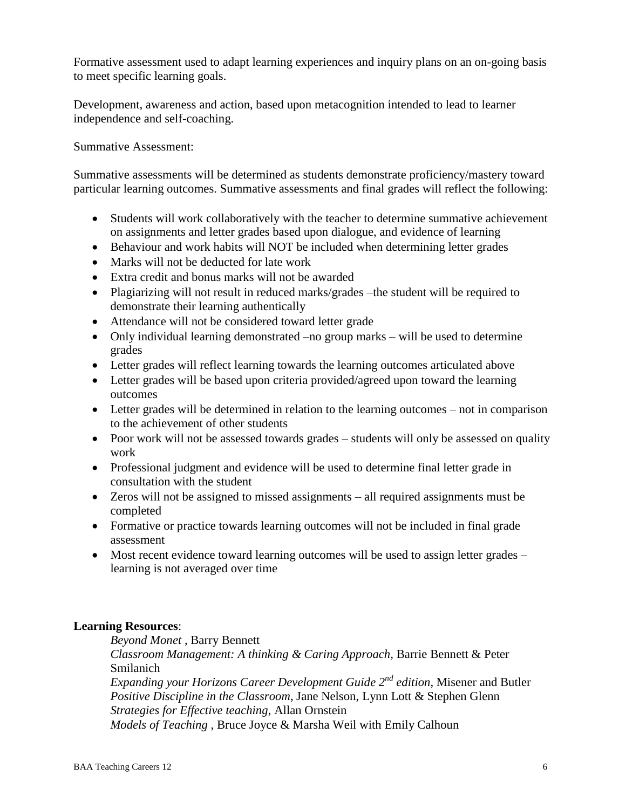Formative assessment used to adapt learning experiences and inquiry plans on an on-going basis to meet specific learning goals.

Development, awareness and action, based upon metacognition intended to lead to learner independence and self-coaching.

Summative Assessment:

Summative assessments will be determined as students demonstrate proficiency/mastery toward particular learning outcomes. Summative assessments and final grades will reflect the following:

- Students will work collaboratively with the teacher to determine summative achievement on assignments and letter grades based upon dialogue, and evidence of learning
- Behaviour and work habits will NOT be included when determining letter grades
- Marks will not be deducted for late work
- Extra credit and bonus marks will not be awarded
- Plagiarizing will not result in reduced marks/grades –the student will be required to demonstrate their learning authentically
- Attendance will not be considered toward letter grade
- Only individual learning demonstrated –no group marks will be used to determine grades
- Letter grades will reflect learning towards the learning outcomes articulated above
- Letter grades will be based upon criteria provided/agreed upon toward the learning outcomes
- Letter grades will be determined in relation to the learning outcomes not in comparison to the achievement of other students
- Poor work will not be assessed towards grades students will only be assessed on quality work
- Professional judgment and evidence will be used to determine final letter grade in consultation with the student
- Zeros will not be assigned to missed assignments all required assignments must be completed
- Formative or practice towards learning outcomes will not be included in final grade assessment
- Most recent evidence toward learning outcomes will be used to assign letter grades learning is not averaged over time

# **Learning Resources**:

*Beyond Monet* , Barry Bennett

*Classroom Management: A thinking & Caring Approach,* Barrie Bennett & Peter Smilanich

*Expanding your Horizons Career Development Guide 2nd edition*, Misener and Butler *Positive Discipline in the Classroom*, Jane Nelson, Lynn Lott & Stephen Glenn *Strategies for Effective teaching*, Allan Ornstein

*Models of Teaching* , Bruce Joyce & Marsha Weil with Emily Calhoun